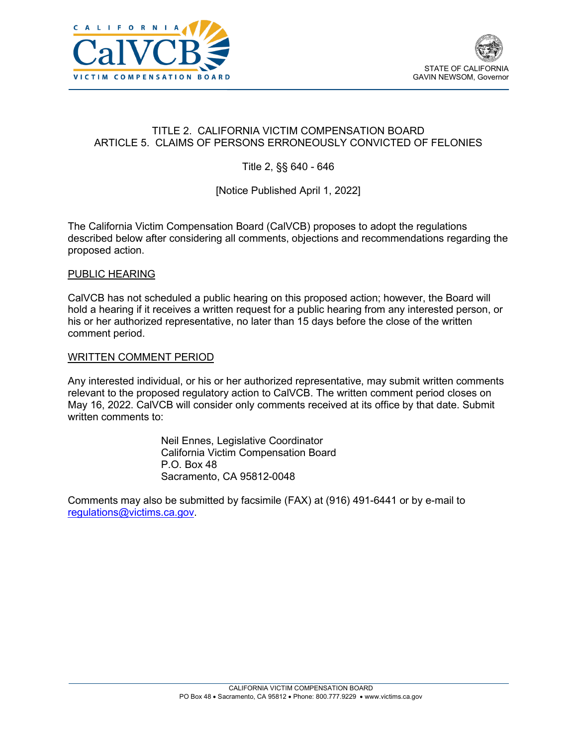



# TITLE 2. CALIFORNIA VICTIM COMPENSATION BOARD ARTICLE 5. CLAIMS OF PERSONS ERRONEOUSLY CONVICTED OF FELONIES

Title 2, §§ 640 - 646

# [Notice Published April 1, 2022]

The California Victim Compensation Board (CalVCB) proposes to adopt the regulations described below after considering all comments, objections and recommendations regarding the proposed action.

#### PUBLIC HEARING

 CalVCB has not scheduled a public hearing on this proposed action; however, the Board will hold a hearing if it receives a written request for a public hearing from any interested person, or his or her authorized representative, no later than 15 days before the close of the written comment period.

#### WRITTEN COMMENT PERIOD

 Any interested individual, or his or her authorized representative, may submit written comments May 16, 2022. CalVCB will consider only comments received at its office by that date. Submit relevant to the proposed regulatory action to CalVCB. The written comment period closes on written comments to:

> Neil Ennes, Legislative Coordinator California Victim Compensation Board P.O. Box 48 Sacramento, CA 95812-0048

Comments may also be submitted by facsimile (FAX) at (916) 491-6441 or by e-mail to [regulations@victims.ca.gov.](mailto:regulations@victims.ca.gov)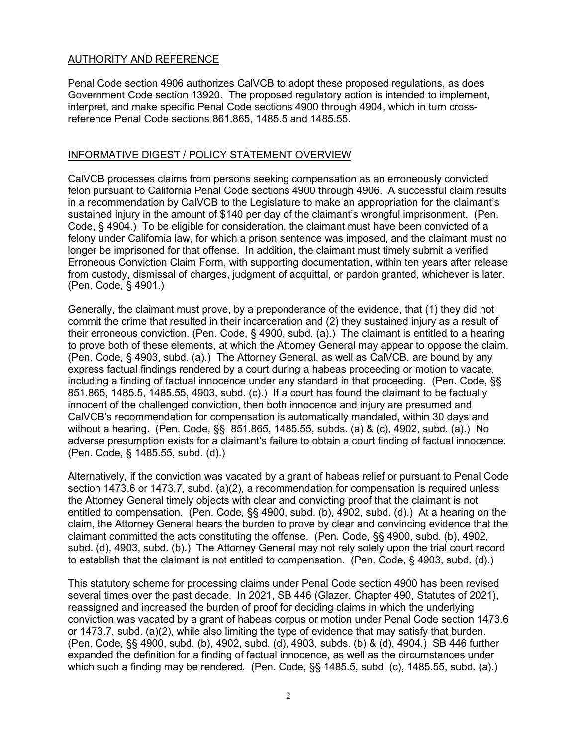# AUTHORITY AND REFERENCE

 Penal Code section 4906 authorizes CalVCB to adopt these proposed regulations, as does Government Code section 13920. The proposed regulatory action is intended to implement, interpret, and make specific Penal Code sections 4900 through 4904, which in turn crossreference Penal Code sections 861.865, 1485.5 and 1485.55.

## INFORMATIVE DIGEST / POLICY STATEMENT OVERVIEW

 felon pursuant to California Penal Code sections 4900 through 4906. A successful claim results sustained injury in the amount of \$140 per day of the claimant's wrongful imprisonment. (Pen. felony under California law, for which a prison sentence was imposed, and the claimant must no longer be imprisoned for that offense. In addition, the claimant must timely submit a verified from custody, dismissal of charges, judgment of acquittal, or pardon granted, whichever is later. CalVCB processes claims from persons seeking compensation as an erroneously convicted in a recommendation by CalVCB to the Legislature to make an appropriation for the claimant's Code, § 4904.) To be eligible for consideration, the claimant must have been convicted of a Erroneous Conviction Claim Form, with supporting documentation, within ten years after release (Pen. Code, § 4901.)

 their erroneous conviction. (Pen. Code, § 4900, subd. (a).) The claimant is entitled to a hearing to prove both of these elements, at which the Attorney General may appear to oppose the claim. (Pen. Code, § 4903, subd. (a).) The Attorney General, as well as CalVCB, are bound by any express factual findings rendered by a court during a habeas proceeding or motion to vacate, including a finding of factual innocence under any standard in that proceeding. (Pen. Code, §§ 851.865, 1485.5, 1485.55, 4903, subd. (c).) If a court has found the claimant to be factually without a hearing. (Pen. Code, §§ 851.865, 1485.55, subds. (a) & (c), 4902, subd. (a).) No adverse presumption exists for a claimant's failure to obtain a court finding of factual innocence.<br>(Pen. Code, § 1485.55, subd. (d).) Generally, the claimant must prove, by a preponderance of the evidence, that (1) they did not commit the crime that resulted in their incarceration and (2) they sustained injury as a result of innocent of the challenged conviction, then both innocence and injury are presumed and CalVCB's recommendation for compensation is automatically mandated, within 30 days and

 the Attorney General timely objects with clear and convicting proof that the claimant is not entitled to compensation. (Pen. Code, §§ 4900, subd. (b), 4902, subd. (d).) At a hearing on the claimant committed the acts constituting the offense. (Pen. Code, §§ 4900, subd. (b), 4902, subd. (d), 4903, subd. (b).) The Attorney General may not rely solely upon the trial court record to establish that the claimant is not entitled to compensation. (Pen. Code, § 4903, subd. (d).) Alternatively, if the conviction was vacated by a grant of habeas relief or pursuant to Penal Code section 1473.6 or 1473.7, subd. (a)(2), a recommendation for compensation is required unless claim, the Attorney General bears the burden to prove by clear and convincing evidence that the

 several times over the past decade. In 2021, SB 446 (Glazer, Chapter 490, Statutes of 2021), (Pen. Code, §§ 4900, subd. (b), 4902, subd. (d), 4903, subds. (b) & (d), 4904.) SB 446 further expanded the definition for a finding of factual innocence, as well as the circumstances under which such a finding may be rendered. (Pen. Code, §§ 1485.5, subd. (c), 1485.55, subd. (a).) This statutory scheme for processing claims under Penal Code section 4900 has been revised reassigned and increased the burden of proof for deciding claims in which the underlying conviction was vacated by a grant of habeas corpus or motion under Penal Code section 1473.6 or 1473.7, subd. (a)(2), while also limiting the type of evidence that may satisfy that burden.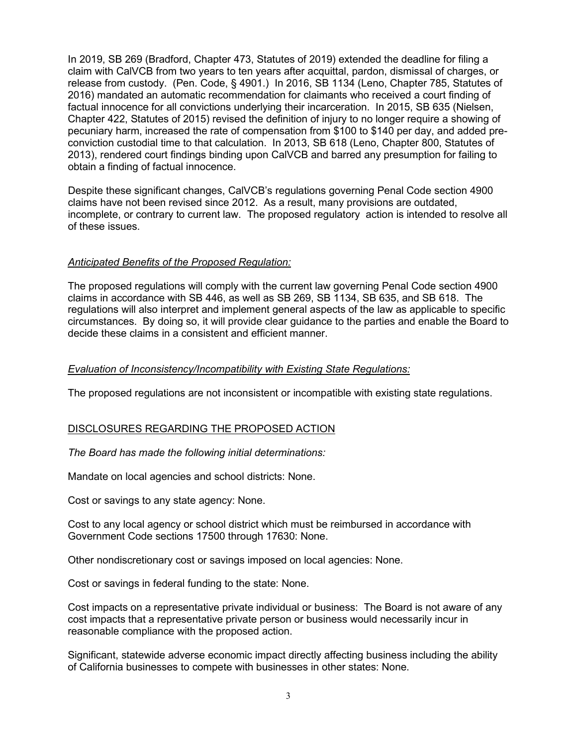claim with CalVCB from two years to ten years after acquittal, pardon, dismissal of charges, or release from custody. (Pen. Code, § 4901.) In 2016, SB 1134 (Leno, Chapter 785, Statutes of factual innocence for all convictions underlying their incarceration. In 2015, SB 635 (Nielsen, conviction custodial time to that calculation. In 2013, SB 618 (Leno, Chapter 800, Statutes of obtain a finding of factual innocence. In 2019, SB 269 (Bradford, Chapter 473, Statutes of 2019) extended the deadline for filing a 2016) mandated an automatic recommendation for claimants who received a court finding of Chapter 422, Statutes of 2015) revised the definition of injury to no longer require a showing of pecuniary harm, increased the rate of compensation from \$100 to \$140 per day, and added pre-2013), rendered court findings binding upon CalVCB and barred any presumption for failing to

obtain a finding of factual innocence.<br>Despite these significant changes, CalVCB's regulations governing Penal Code section 4900 claims have not been revised since 2012. As a result, many provisions are outdated, incomplete, or contrary to current law. The proposed regulatory action is intended to resolve all of these issues.

#### *Anticipated Benefits of the Proposed Regulation:*

 The proposed regulations will comply with the current law governing Penal Code section 4900 claims in accordance with SB 446, as well as SB 269, SB 1134, SB 635, and SB 618. The regulations will also interpret and implement general aspects of the law as applicable to specific circumstances. By doing so, it will provide clear guidance to the parties and enable the Board to decide these claims in a consistent and efficient manner.

#### *Evaluation of Inconsistency/Incompatibility with Existing State Regulations:*

The proposed regulations are not inconsistent or incompatible with existing state regulations.

## DISCLOSURES REGARDING THE PROPOSED ACTION

*The Board has made the following initial determinations:* 

Mandate on local agencies and school districts: None.

Cost or savings to any state agency: None.

 Government Code sections 17500 through 17630: None. Cost to any local agency or school district which must be reimbursed in accordance with

Other nondiscretionary cost or savings imposed on local agencies: None.

Cost or savings in federal funding to the state: None.

 Cost impacts on a representative private individual or business: The Board is not aware of any cost impacts that a representative private person or business would necessarily incur in reasonable compliance with the proposed action.

Significant, statewide adverse economic impact directly affecting business including the ability of California businesses to compete with businesses in other states: None.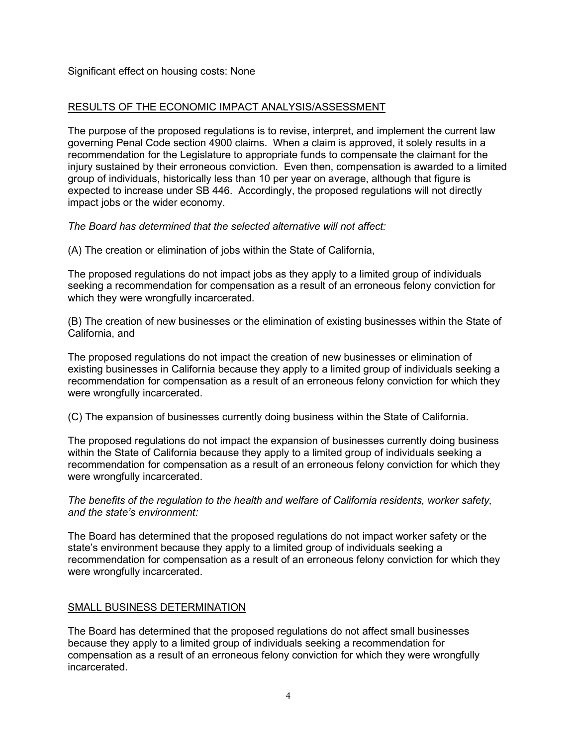## RESULTS OF THE ECONOMIC IMPACT ANALYSIS/ASSESSMENT

 governing Penal Code section 4900 claims. When a claim is approved, it solely results in a injury sustained by their erroneous conviction. Even then, compensation is awarded to a limited expected to increase under SB 446. Accordingly, the proposed regulations will not directly The purpose of the proposed regulations is to revise, interpret, and implement the current law recommendation for the Legislature to appropriate funds to compensate the claimant for the group of individuals, historically less than 10 per year on average, although that figure is impact jobs or the wider economy.

 *The Board has determined that the selected alternative will not affect:* 

(A) The creation or elimination of jobs within the State of California,

 The proposed regulations do not impact jobs as they apply to a limited group of individuals seeking a recommendation for compensation as a result of an erroneous felony conviction for which they were wrongfully incarcerated.

 California, and (B) The creation of new businesses or the elimination of existing businesses within the State of

 The proposed regulations do not impact the creation of new businesses or elimination of existing businesses in California because they apply to a limited group of individuals seeking a recommendation for compensation as a result of an erroneous felony conviction for which they were wrongfully incarcerated.

(C) The expansion of businesses currently doing business within the State of California.

 The proposed regulations do not impact the expansion of businesses currently doing business within the State of California because they apply to a limited group of individuals seeking a recommendation for compensation as a result of an erroneous felony conviction for which they were wrongfully incarcerated.

*The benefits of the regulation to the health and welfare of California residents, worker safety, and the state's environment:* 

 The Board has determined that the proposed regulations do not impact worker safety or the state's environment because they apply to a limited group of individuals seeking a recommendation for compensation as a result of an erroneous felony conviction for which they were wrongfully incarcerated.

## SMALL BUSINESS DETERMINATION

 The Board has determined that the proposed regulations do not affect small businesses because they apply to a limited group of individuals seeking a recommendation for compensation as a result of an erroneous felony conviction for which they were wrongfully incarcerated.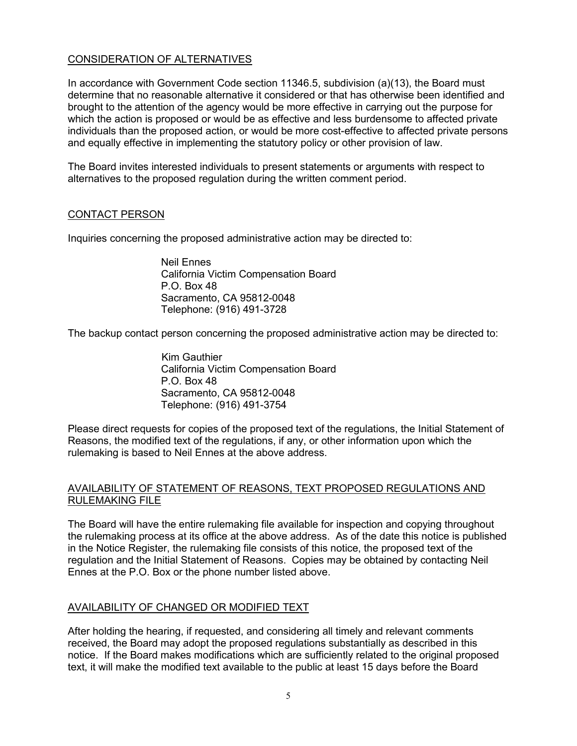# CONSIDERATION OF ALTERNATIVES

In accordance with Government Code section 11346.5, subdivision (a)(13), the Board must determine that no reasonable alternative it considered or that has otherwise been identified and brought to the attention of the agency would be more effective in carrying out the purpose for which the action is proposed or would be as effective and less burdensome to affected private individuals than the proposed action, or would be more cost-effective to affected private persons and equally effective in implementing the statutory policy or other provision of law.

The Board invites interested individuals to present statements or arguments with respect to alternatives to the proposed regulation during the written comment period.

## CONTACT PERSON

Inquiries concerning the proposed administrative action may be directed to:

Neil Ennes California Victim Compensation Board P.O. Box 48 Sacramento, CA 95812-0048 Telephone: (916) 491-3728

The backup contact person concerning the proposed administrative action may be directed to:

Kim Gauthier California Victim Compensation Board P.O. Box 48 Sacramento, CA 95812-0048 Telephone: (916) 491-3754

 Please direct requests for copies of the proposed text of the regulations, the Initial Statement of Reasons, the modified text of the regulations, if any, or other information upon which the rulemaking is based to Neil Ennes at the above address.

## AVAILABILITY OF STATEMENT OF REASONS, TEXT PROPOSED REGULATIONS AND RULEMAKING FILE

 the rulemaking process at its office at the above address. As of the date this notice is published regulation and the Initial Statement of Reasons. Copies may be obtained by contacting Neil The Board will have the entire rulemaking file available for inspection and copying throughout in the Notice Register, the rulemaking file consists of this notice, the proposed text of the Ennes at the P.O. Box or the phone number listed above.

## AVAILABILITY OF CHANGED OR MODIFIED TEXT

 received, the Board may adopt the proposed regulations substantially as described in this notice. If the Board makes modifications which are sufficiently related to the original proposed After holding the hearing, if requested, and considering all timely and relevant comments text, it will make the modified text available to the public at least 15 days before the Board